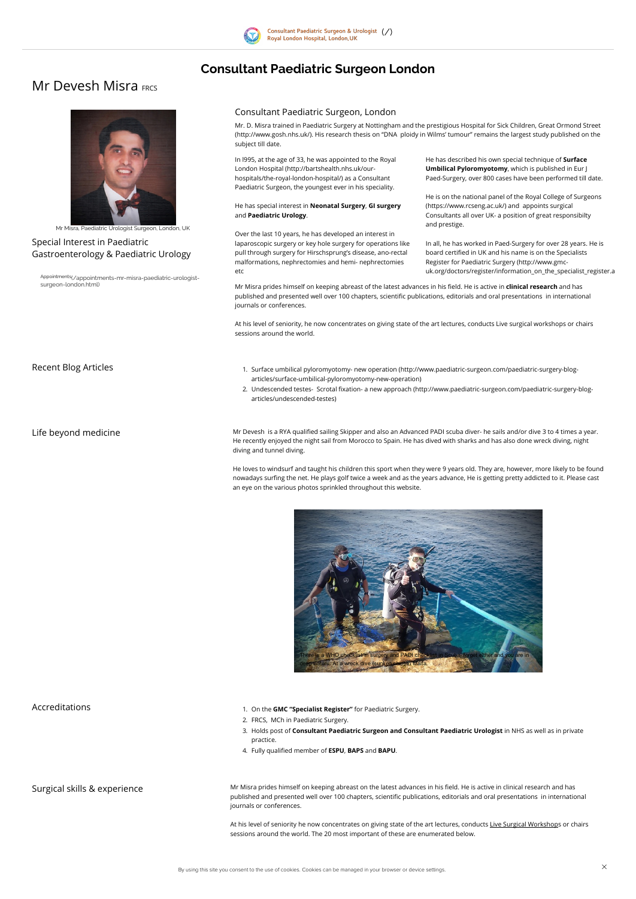

# Consultant Paediatric Surgeon London

# **Mr Devesh Misra FRCS**

# Special Interest in Paediatric Gastroenterology & Paediatric Urology

Appointments[\(/appointments-mr-misra-paediatric-urologist](http://www.paediatric-surgeon.com/appointments-mr-misra-paediatric-urologist-surgeon-london.html)surgeon-london.html)

# Consultant Paediatric Surgeon, London

Mr. D. Misra trained in Paediatric Surgery at Nottingham and the prestigious Hospital for Sick Children, Great Ormond Street [\(http://www.gosh.nhs.uk/\).](http://www.gosh.nhs.uk/) His research thesis on "DNA ploidy in Wilms' tumour" remains the largest study published on the subject till date.

Mr Misra prides himself on keeping abreast of the latest advances in his field. He is active in clinical research and has published and presented well over 100 chapters, scientific publications, editorials and oral presentations in international journals or conferences.

### He has special interest in Neonatal Surgery, GI surgery and Paediatric Urology.

He has described his own special technique of Surface Umbilical Pyloromyotomy, which is published in Eur J Paed-Surgery, over 800 cases have been performed till date.

At his level of seniority, he now concentrates on giving state of the art lectures, conducts Live surgical workshops or chairs sessions around the world.

In all, he has worked in Paed-Surgery for over 28 years. He is board certified in UK and his name is on the Specialists Register for Paediatric Surgery (http://www.gmc[uk.org/doctors/register/information\\_on\\_the\\_specialist\\_register.a](http://www.gmc-uk.org/doctors/register/information_on_the_specialist_register.asp)



Mr Misra, Paediatric Urologist Surgeon, London, UK

In l995, at the age of 33, he was appointed to the Royal London Hospital (http://bartshealth.nhs.uk/our[hospitals/the-royal-london-hospital/\)](http://bartshealth.nhs.uk/our-hospitals/the-royal-london-hospital/) as a Consultant Paediatric Surgeon, the youngest ever in his speciality.

- Recent Blog Articles 1. Surface umbilical pyloromyotomy- new operation [\(http://www.paediatric-surgeon.com/paediatric-surgery-blog](http://www.paediatric-surgeon.com/paediatric-surgery-blog-articles/surface-umbilical-pyloromyotomy-new-operation)articles/surface-umbilical-pyloromyotomy-new-operation)
	- 2. Undescended testes- Scrotal fixation- a new approach [\(http://www.paediatric-surgeon.com/paediatric-surgery-blog](http://www.paediatric-surgeon.com/paediatric-surgery-blog-articles/undescended-testes)articles/undescended-testes)

Life beyond medicine **Mr Devesh is a RYA qualified sailing Skipper** and also an Advanced PADI scuba diver- he sails and/or dive 3 to 4 times a year. He recently enjoyed the night sail from Morocco to Spain. He has dived with sharks and has also done wreck diving, night diving and tunnel diving.

Over the last 10 years, he has developed an interest in laparoscopic surgery or key hole surgery for operations like pull through surgery for Hirschsprung's disease, ano-rectal malformations, nephrectomies and hemi- nephrectomies etc

- 2. FRCS, MCh in Paediatric Surgery.
- 3. Holds post of Consultant Paediatric Surgeon and Consultant Paediatric Urologist in NHS as well as in private practice.
- 4. Fully qualified member of **ESPU, BAPS** and **BAPU**.

He is on the national panel of the Royal College of Surgeons [\(https://www.rcseng.ac.uk/\)](https://www.rcseng.ac.uk/) and appoints surgical Consultants all over UK- a position of great responsibilty and prestige.

Surgical skills & experience **Mr Misra prides himself on keeping abreast** on the latest advances in his field. He is active in clinical research and has published and presented well over 100 chapters, scientific publications, editorials and oral presentations in international journals or conferences.

> At his level of seniority he now concentrates on giving state of the art lectures, conducts Live Surgical Workshops or chairs sessions around the world. The 20 most important of these are enumerated below.

By using this site you consent to the use of cookies. Cookies can be managed in your browser or device settings.

He loves to windsurf and taught his children this sport when they were 9 years old. They are, however, more likely to be found nowadays surfing the net. He plays golf twice a week and as the years advance, He is getting pretty addicted to it. Please cast an eye on the various photos sprinkled throughout this website.



Accreditations **Accreditations** 1. On the GMC "Specialist Register" for Paediatric Surgery.